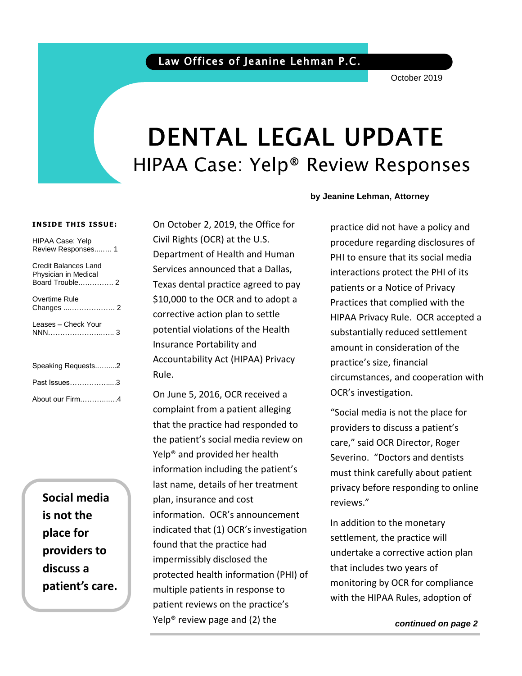October 2019

# DENTAL LEGAL UPDATE HIPAA Case: Yelp® Review Responses

#### **INSIDE THIS ISSUE:**

| <b>HIPAA Case: Yelp</b><br>Review Responses 1                   |
|-----------------------------------------------------------------|
| Credit Balances Land<br>Physician in Medical<br>Board Trouble 2 |
| Overtime Rule                                                   |
| Leases - Check Your                                             |
| Speaking Requests2                                              |
| Past Issues3                                                    |
| About our Firm4                                                 |

**Social media is not the place for providers to discuss a patient's care.**

On October 2, 2019, the Office for Civil Rights (OCR) at the U.S. Department of Health and Human Services announced that a Dallas, Texas dental practice agreed to pay \$10,000 to the OCR and to adopt a corrective action plan to settle potential violations of the Health Insurance Portability and Accountability Act (HIPAA) Privacy Rule.

On June 5, 2016, OCR received a complaint from a patient alleging that the practice had responded to the patient's social media review on Yelp® and provided her health information including the patient's last name, details of her treatment plan, insurance and cost information. OCR's announcement indicated that (1) OCR's investigation found that the practice had impermissibly disclosed the protected health information (PHI) of multiple patients in response to patient reviews on the practice's Yelp® review page and (2) the

#### **by Jeanine Lehman, Attorney**

practice did not have a policy and procedure regarding disclosures of PHI to ensure that its social media interactions protect the PHI of its patients or a Notice of Privacy Practices that complied with the HIPAA Privacy Rule. OCR accepted a substantially reduced settlement amount in consideration of the practice's size, financial circumstances, and cooperation with OCR's investigation.

"Social media is not the place for providers to discuss a patient's care," said OCR Director, Roger Severino. "Doctors and dentists must think carefully about patient privacy before responding to online reviews."

In addition to the monetary settlement, the practice will undertake a corrective action plan that includes two years of monitoring by OCR for compliance with the HIPAA Rules, adoption of

*continued on page 2*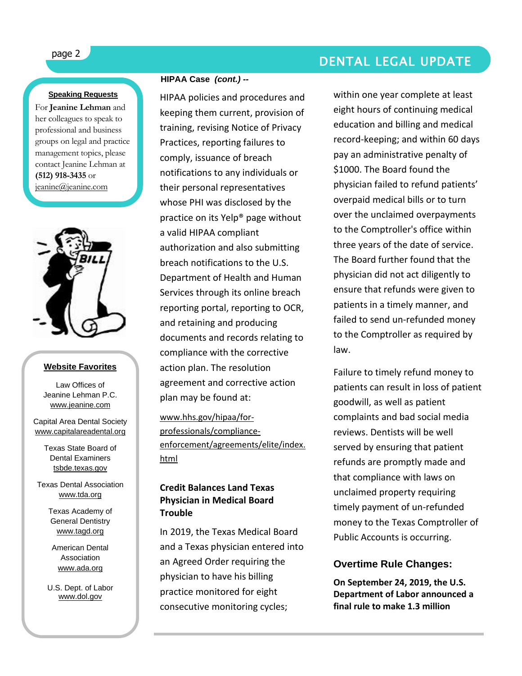### **Speaking Requests**

For **Jeanine Lehman** and her colleagues to speak to professional and business groups on legal and practice management topics, please contact Jeanine Lehman at **(512) 918-3435** or [jeanine@jeanine.com](mailto:jeanine@jeanine.com)

ì



#### **Website Favorites**

Law Offices of Jeanine Lehman P.C. [www.jeanine.com](http://www.jeanine.com/)

Capital Area Dental Society [www.capitalareadental.org](http://www.capitalareadental.org/)

> Texas State Board of Dental Examiners tsbde.texas.gov

Texas Dental Association [www.tda.org](http://www.tda.org/)

> Texas Academy of General Dentistry [www.tagd.org](http://www.tagd.org/)

American Dental Association [www.ada.org](http://www.ada.org/)

U.S. Dept. of Labor [www.dol.gov](http://www.dol.gov/)

### **HIPAA Case** *(cont.) --*

HIPAA policies and procedures and keeping them current, provision of training, revising Notice of Privacy Practices, reporting failures to comply, issuance of breach notifications to any individuals or their personal representatives whose PHI was disclosed by the practice on its Yelp® page without a valid HIPAA compliant authorization and also submitting breach notifications to the U.S. Department of Health and Human Services through its online breach reporting portal, reporting to OCR, and retaining and producing documents and records relating to compliance with the corrective action plan. The resolution agreement and corrective action plan may be found at:

[www.hhs.gov/hipaa/for](http://www.hhs.gov/hipaa/for-professionals/compliance-enforcement/agreements/elite/index.html)[professionals/compliance](http://www.hhs.gov/hipaa/for-professionals/compliance-enforcement/agreements/elite/index.html)[enforcement/agreements/elite/index.](http://www.hhs.gov/hipaa/for-professionals/compliance-enforcement/agreements/elite/index.html) [html](http://www.hhs.gov/hipaa/for-professionals/compliance-enforcement/agreements/elite/index.html)

### **Credit Balances Land Texas Physician in Medical Board Trouble**

In 2019, the Texas Medical Board and a Texas physician entered into an Agreed Order requiring the physician to have his billing practice monitored for eight consecutive monitoring cycles;

## page 2 DENTAL LEGAL UPDATE

within one year complete at least eight hours of continuing medical education and billing and medical record-keeping; and within 60 days pay an administrative penalty of \$1000. The Board found the physician failed to refund patients' overpaid medical bills or to turn over the unclaimed overpayments to the Comptroller's office within three years of the date of service. The Board further found that the physician did not act diligently to ensure that refunds were given to patients in a timely manner, and failed to send un-refunded money to the Comptroller as required by law.

Failure to timely refund money to patients can result in loss of patient goodwill, as well as patient complaints and bad social media reviews. Dentists will be well served by ensuring that patient refunds are promptly made and that compliance with laws on unclaimed property requiring timely payment of un-refunded money to the Texas Comptroller of Public Accounts is occurring.

### **Overtime Rule Changes:**

**On September 24, 2019, the U.S. Department of Labor announced a final rule to make 1.3 million**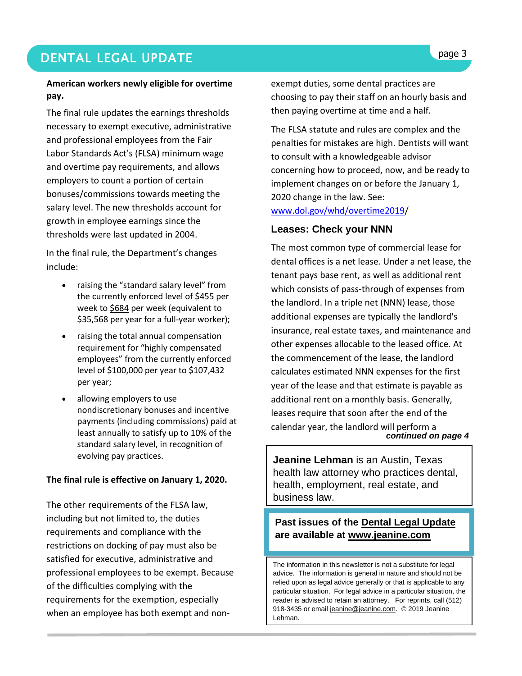### **DENTAL LEGAL UPDATE Superior and the second second service of the second second service of the service of the service of the service of the service of the service of the service of the service of the service of the serv**

### **American workers newly eligible for overtime pay.**

The final rule updates the earnings thresholds necessary to exempt executive, administrative and professional employees from the Fair Labor Standards Act's (FLSA) minimum wage and overtime pay requirements, and allows employers to count a portion of certain bonuses/commissions towards meeting the salary level. The new thresholds account for growth in employee earnings since the thresholds were last updated in 2004.

In the final rule, the Department's changes include:

- raising the "standard salary level" from the currently enforced level of \$455 per week to \$684 per week (equivalent to \$35,568 per year for a full-year worker);
- raising the total annual compensation requirement for "highly compensated employees" from the currently enforced level of \$100,000 per year to \$107,432 per year;
- allowing employers to use nondiscretionary bonuses and incentive payments (including commissions) paid at least annually to satisfy up to 10% of the standard salary level, in recognition of evolving pay practices.

### **The final rule is effective on January 1, 2020.**

The other requirements of the FLSA law, including but not limited to, the duties requirements and compliance with the restrictions on docking of pay must also be satisfied for executive, administrative and professional employees to be exempt. Because of the difficulties complying with the requirements for the exemption, especially when an employee has both exempt and nonexempt duties, some dental practices are choosing to pay their staff on an hourly basis and then paying overtime at time and a half.

The FLSA statute and rules are complex and the penalties for mistakes are high. Dentists will want to consult with a knowledgeable advisor concerning how to proceed, now, and be ready to implement changes on or before the January 1, 2020 change in the law. See: [www.dol.gov/whd/overtime2019/](http://www.dol.gov/whd/overtime2019)

### **Leases: Check your NNN**

 *continued on page 4* The most common type of commercial lease for dental offices is a net lease. Under a net lease, the tenant pays base rent, as well as additional rent which consists of pass-through of expenses from the landlord. In a triple net (NNN) lease, those additional expenses are typically the landlord's insurance, real estate taxes, and maintenance and other expenses allocable to the leased office. At the commencement of the lease, the landlord calculates estimated NNN expenses for the first year of the lease and that estimate is payable as additional rent on a monthly basis. Generally, leases require that soon after the end of the calendar year, the landlord will perform a

**Jeanine Lehman** is an Austin, Texas health law attorney who practices dental, health, employment, real estate, and business law.

### **Past issues of the Dental Legal Update are available at [www.jeanine.com](http://www.jeanine.com/)**

The information in this newsletter is not a substitute for legal advice. The information is general in nature and should not be relied upon as legal advice generally or that is applicable to any particular situation. For legal advice in a particular situation, the reader is advised to retain an attorney. For reprints, call (512) 918-3435 or email [jeanine@jeanine.com.](mailto:jeanine@jeanine.com) © 2019 Jeanine Lehman.